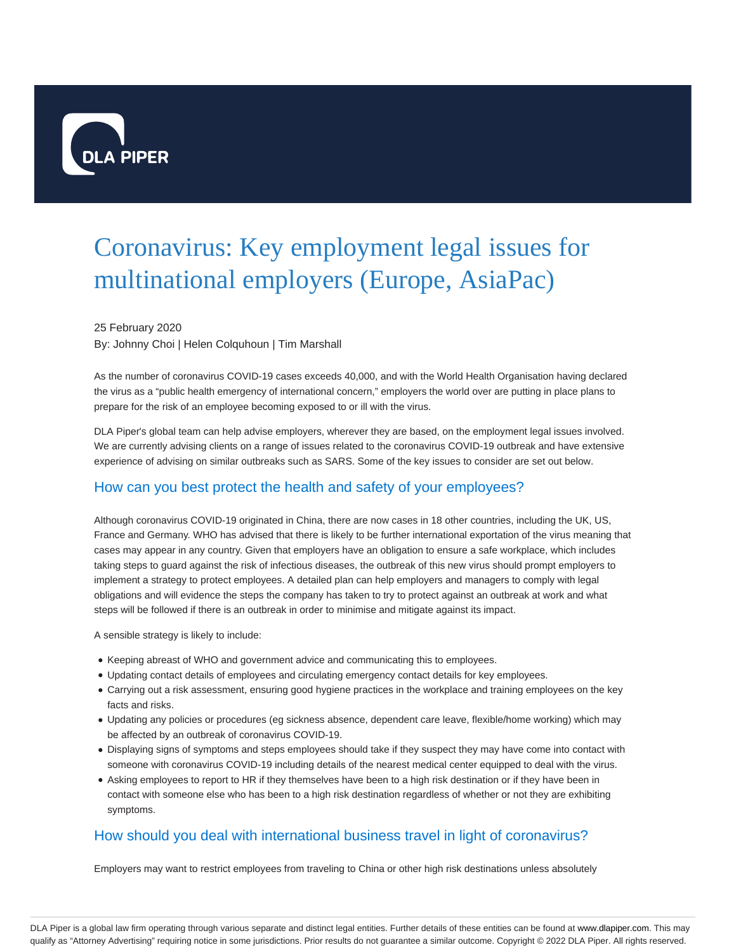

# Coronavirus: Key employment legal issues for multinational employers (Europe, AsiaPac)

#### 25 February 2020

By: Johnny Choi | Helen Colquhoun | Tim Marshall

As the number of coronavirus COVID-19 cases exceeds 40,000, and with the World Health Organisation having declared the virus as a "public health emergency of international concern," employers the world over are putting in place plans to prepare for the risk of an employee becoming exposed to or ill with the virus.

DLA Piper's global team can help advise employers, wherever they are based, on the employment legal issues involved. We are currently advising clients on a range of issues related to the coronavirus COVID-19 outbreak and have extensive experience of advising on similar outbreaks such as SARS. Some of the key issues to consider are set out below.

# How can you best protect the health and safety of your employees?

Although coronavirus COVID-19 originated in China, there are now cases in 18 other countries, including the UK, US, France and Germany. WHO has advised that there is likely to be further international exportation of the virus meaning that cases may appear in any country. Given that employers have an obligation to ensure a safe workplace, which includes taking steps to guard against the risk of infectious diseases, the outbreak of this new virus should prompt employers to implement a strategy to protect employees. A detailed plan can help employers and managers to comply with legal obligations and will evidence the steps the company has taken to try to protect against an outbreak at work and what steps will be followed if there is an outbreak in order to minimise and mitigate against its impact.

A sensible strategy is likely to include:

- Keeping abreast of WHO and government advice and communicating this to employees.
- Updating contact details of employees and circulating emergency contact details for key employees.
- Carrying out a risk assessment, ensuring good hygiene practices in the workplace and training employees on the key facts and risks.
- Updating any policies or procedures (eg sickness absence, dependent care leave, flexible/home working) which may be affected by an outbreak of coronavirus COVID-19.
- Displaying signs of symptoms and steps employees should take if they suspect they may have come into contact with someone with coronavirus COVID-19 including details of the nearest medical center equipped to deal with the virus.
- Asking employees to report to HR if they themselves have been to a high risk destination or if they have been in contact with someone else who has been to a high risk destination regardless of whether or not they are exhibiting symptoms.

## How should you deal with international business travel in light of coronavirus?

Employers may want to restrict employees from traveling to China or other high risk destinations unless absolutely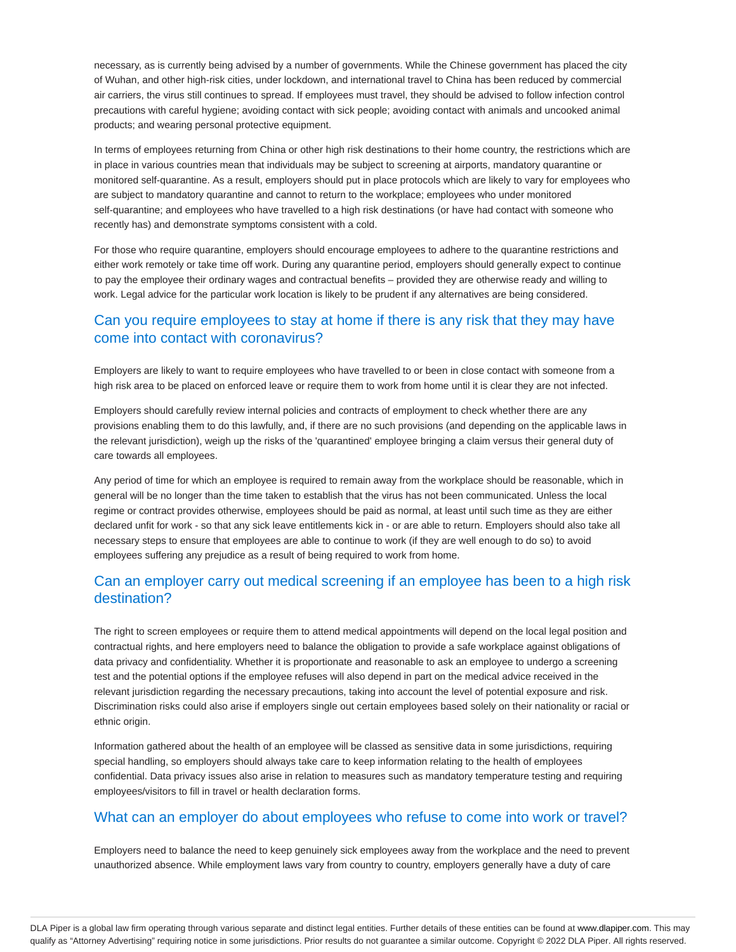necessary, as is currently being advised by a number of governments. While the Chinese government has placed the city of Wuhan, and other high-risk cities, under lockdown, and international travel to China has been reduced by commercial air carriers, the virus still continues to spread. If employees must travel, they should be advised to follow infection control precautions with careful hygiene; avoiding contact with sick people; avoiding contact with animals and uncooked animal products; and wearing personal protective equipment.

In terms of employees returning from China or other high risk destinations to their home country, the restrictions which are in place in various countries mean that individuals may be subject to screening at airports, mandatory quarantine or monitored self-quarantine. As a result, employers should put in place protocols which are likely to vary for employees who are subject to mandatory quarantine and cannot to return to the workplace; employees who under monitored self-quarantine; and employees who have travelled to a high risk destinations (or have had contact with someone who recently has) and demonstrate symptoms consistent with a cold.

For those who require quarantine, employers should encourage employees to adhere to the quarantine restrictions and either work remotely or take time off work. During any quarantine period, employers should generally expect to continue to pay the employee their ordinary wages and contractual benefits – provided they are otherwise ready and willing to work. Legal advice for the particular work location is likely to be prudent if any alternatives are being considered.

# Can you require employees to stay at home if there is any risk that they may have come into contact with coronavirus?

Employers are likely to want to require employees who have travelled to or been in close contact with someone from a high risk area to be placed on enforced leave or require them to work from home until it is clear they are not infected.

Employers should carefully review internal policies and contracts of employment to check whether there are any provisions enabling them to do this lawfully, and, if there are no such provisions (and depending on the applicable laws in the relevant jurisdiction), weigh up the risks of the 'quarantined' employee bringing a claim versus their general duty of care towards all employees.

Any period of time for which an employee is required to remain away from the workplace should be reasonable, which in general will be no longer than the time taken to establish that the virus has not been communicated. Unless the local regime or contract provides otherwise, employees should be paid as normal, at least until such time as they are either declared unfit for work - so that any sick leave entitlements kick in - or are able to return. Employers should also take all necessary steps to ensure that employees are able to continue to work (if they are well enough to do so) to avoid employees suffering any prejudice as a result of being required to work from home.

# Can an employer carry out medical screening if an employee has been to a high risk destination?

The right to screen employees or require them to attend medical appointments will depend on the local legal position and contractual rights, and here employers need to balance the obligation to provide a safe workplace against obligations of data privacy and confidentiality. Whether it is proportionate and reasonable to ask an employee to undergo a screening test and the potential options if the employee refuses will also depend in part on the medical advice received in the relevant jurisdiction regarding the necessary precautions, taking into account the level of potential exposure and risk. Discrimination risks could also arise if employers single out certain employees based solely on their nationality or racial or ethnic origin.

Information gathered about the health of an employee will be classed as sensitive data in some jurisdictions, requiring special handling, so employers should always take care to keep information relating to the health of employees confidential. Data privacy issues also arise in relation to measures such as mandatory temperature testing and requiring employees/visitors to fill in travel or health declaration forms.

## What can an employer do about employees who refuse to come into work or travel?

Employers need to balance the need to keep genuinely sick employees away from the workplace and the need to prevent unauthorized absence. While employment laws vary from country to country, employers generally have a duty of care